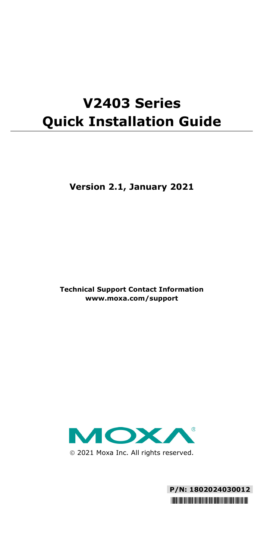# **V2403 Series Quick Installation Guide**

**Version 2.1, January 2021**

**Technical Support Contact Information www.moxa.com/support**



2021 Moxa Inc. All rights reserved.

**P/N: 1802024030012** \*1802024030012\*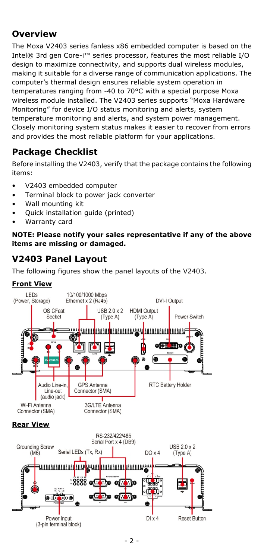# **Overview**

The Moxa V2403 series fanless x86 embedded computer is based on the Intel® 3rd gen Core-i™ series processor, features the most reliable I/O design to maximize connectivity, and supports dual wireless modules, making it suitable for a diverse range of communication applications. The computer's thermal design ensures reliable system operation in temperatures ranging from -40 to 70°C with a special purpose Moxa wireless module installed. The V2403 series supports "Moxa Hardware Monitoring" for device I/O status monitoring and alerts, system temperature monitoring and alerts, and system power management. Closely monitoring system status makes it easier to recover from errors and provides the most reliable platform for your applications.

# **Package Checklist**

Before installing the V2403, verify that the package contains the following items:

- V2403 embedded computer
- Terminal block to power jack converter
- Wall mounting kit
- Quick installation guide (printed)
- Warranty card

**NOTE: Please notify your sales representative if any of the above items are missing or damaged.**

# **V2403 Panel Layout**

The following figures show the panel layouts of the V2403.

#### **Front View**

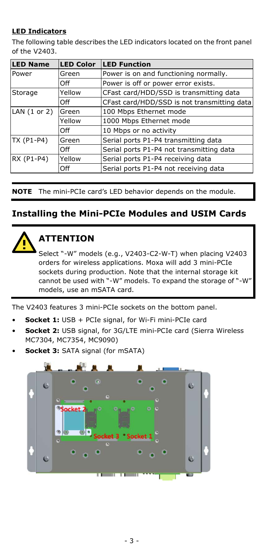### **LED Indicators**

The following table describes the LED indicators located on the front panel of the V2403.

| <b>LED Name</b>         | <b>LED Color</b> | <b>LED Function</b>                         |  |
|-------------------------|------------------|---------------------------------------------|--|
| Power                   | Green            | Power is on and functioning normally.       |  |
|                         | Off              | Power is off or power error exists.         |  |
| Storage                 | Yellow           | CFast card/HDD/SSD is transmitting data     |  |
|                         | Off              | CFast card/HDD/SSD is not transmitting data |  |
| LAN $(1 \text{ or } 2)$ | Green            | 100 Mbps Ethernet mode                      |  |
|                         | Yellow           | 1000 Mbps Ethernet mode                     |  |
|                         | Off              | 10 Mbps or no activity                      |  |
| TX (P1-P4)              | Green            | Serial ports P1-P4 transmitting data        |  |
|                         | Off              | Serial ports P1-P4 not transmitting data    |  |
| RX (P1-P4)              | Yellow           | Serial ports P1-P4 receiving data           |  |
|                         | Off              | Serial ports P1-P4 not receiving data       |  |

**NOTE** The mini-PCIe card's LED behavior depends on the module.

## **Installing the Mini-PCIe Modules and USIM Cards**



# **ATTENTION**

Select "-W" models (e.g., V2403-C2-W-T) when placing V2403 orders for wireless applications. Moxa will add 3 mini-PCIe sockets during production. Note that the internal storage kit cannot be used with "-W" models. To expand the storage of "-W" models, use an mSATA card.

The V2403 features 3 mini-PCIe sockets on the bottom panel.

- **Socket 1:** USB + PCIe signal, for Wi-Fi mini-PCIe card
- **Socket 2:** USB signal, for 3G/LTE mini-PCIe card (Sierra Wireless MC7304, MC7354, MC9090)
- **Socket 3: SATA signal (for mSATA)**

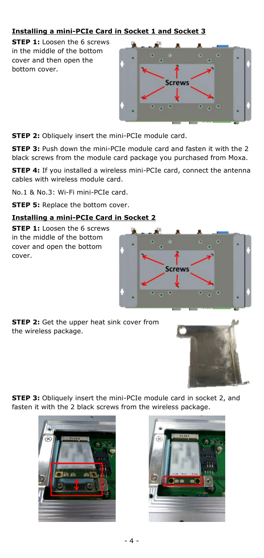### **Installing a mini-PCIe Card in Socket 1 and Socket 3**

**STEP 1:** Loosen the 6 screws in the middle of the bottom cover and then open the bottom cover.



**Screws** 

**STEP 2:** Obliquely insert the mini-PCIe module card.

**STEP 3:** Push down the mini-PCIe module card and fasten it with the 2 black screws from the module card package you purchased from Moxa.

**STEP 4:** If you installed a wireless mini-PCIe card, connect the antenna cables with wireless module card.

No.1 & No.3: Wi-Fi mini-PCIe card.

**STEP 5:** Replace the bottom cover.

#### **Installing a mini-PCIe Card in Socket 2**

**STEP 1:** Loosen the 6 screws in the middle of the bottom cover and open the bottom cover.





**STEP 3:** Obliquely insert the mini-PCIe module card in socket 2, and fasten it with the 2 black screws from the wireless package.



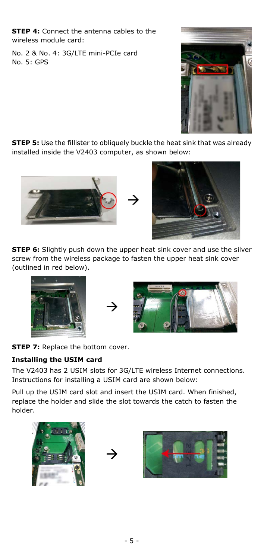**STEP 4:** Connect the antenna cables to the wireless module card:

No. 2 & No. 4: 3G/LTE mini-PCIe card No. 5: GPS



**STEP 5:** Use the fillister to obliquely buckle the heat sink that was already installed inside the V2403 computer, as shown below:



**STEP 6:** Slightly push down the upper heat sink cover and use the silver screw from the wireless package to fasten the upper heat sink cover (outlined in red below).





**STEP 7: Replace the bottom cover.** 

### **Installing the USIM card**

The V2403 has 2 USIM slots for 3G/LTE wireless Internet connections. Instructions for installing a USIM card are shown below:

Pull up the USIM card slot and insert the USIM card. When finished, replace the holder and slide the slot towards the catch to fasten the holder.





 $\rightarrow$ 

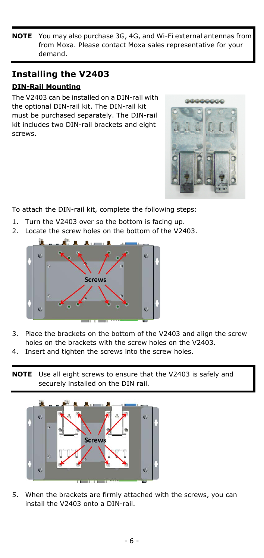**NOTE** You may also purchase 3G, 4G, and Wi-Fi external antennas from from Moxa. Please contact Moxa sales representative for your demand.

# **Installing the V2403**

### **DIN-Rail Mounting**

The V2403 can be installed on a DIN-rail with the optional DIN-rail kit. The DIN-rail kit must be purchased separately. The DIN-rail kit includes two DIN-rail brackets and eight screws.



To attach the DIN-rail kit, complete the following steps:

- 1. Turn the V2403 over so the bottom is facing up.
- 2. Locate the screw holes on the bottom of the V2403.



- 3. Place the brackets on the bottom of the V2403 and align the screw holes on the brackets with the screw holes on the V2403.
- 4. Insert and tighten the screws into the screw holes.
- **NOTE** Use all eight screws to ensure that the V2403 is safely and securely installed on the DIN rail.



5. When the brackets are firmly attached with the screws, you can install the V2403 onto a DIN-rail.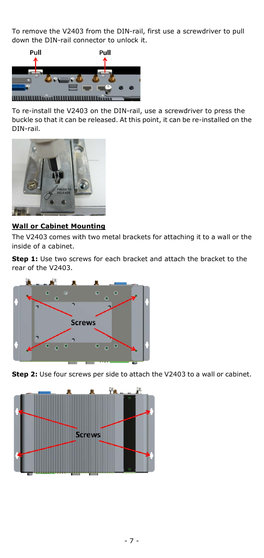To remove the V2403 from the DIN-rail, first use a screwdriver to pull down the DIN-rail connector to unlock it.



To re-install the V2403 on the DIN-rail, use a screwdriver to press the buckle so that it can be released. At this point, it can be re-installed on the DIN-rail.



### **Wall or Cabinet Mounting**

The V2403 comes with two metal brackets for attaching it to a wall or the inside of a cabinet.

**Step 1:** Use two screws for each bracket and attach the bracket to the rear of the V2403.



**Step 2:** Use four screws per side to attach the V2403 to a wall or cabinet.

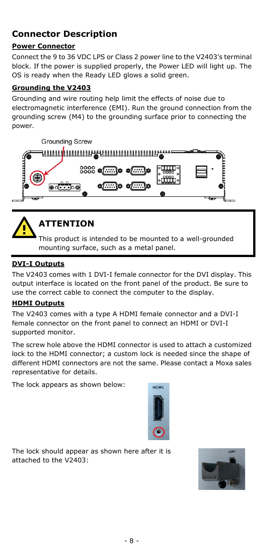# **Connector Description**

### **Power Connector**

Connect the 9 to 36 VDC LPS or Class 2 power line to the V2403's terminal block. If the power is supplied properly, the Power LED will light up. The OS is ready when the Ready LED glows a solid green.

#### **Grounding the V2403**

Grounding and wire routing help limit the effects of noise due to electromagnetic interference (EMI). Run the ground connection from the grounding screw (M4) to the grounding surface prior to connecting the power.





# **ATTENTION**

This product is intended to be mounted to a well-grounded mounting surface, such as a metal panel.

#### **DVI-I Outputs**

The V2403 comes with 1 DVI-I female connector for the DVI display. This output interface is located on the front panel of the product. Be sure to use the correct cable to connect the computer to the display.

#### **HDMI Outputs**

The V2403 comes with a type A HDMI female connector and a DVI-I female connector on the front panel to connect an HDMI or DVI-I supported monitor.

The screw hole above the HDMI connector is used to attach a customized lock to the HDMI connector; a custom lock is needed since the shape of different HDMI connectors are not the same. Please contact a Moxa sales representative for details.

The lock appears as shown below:



The lock should appear as shown here after it is attached to the V2403:

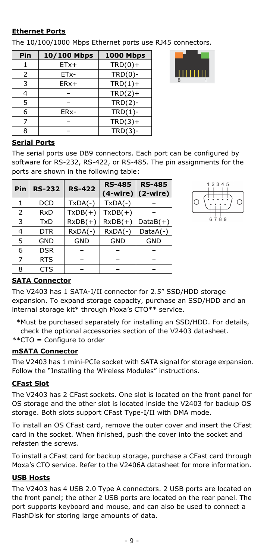#### **Ethernet Ports**

The 10/100/1000 Mbps Ethernet ports use RJ45 connectors.

| Pin            | 10/100 Mbps | <b>1000 Mbps</b> |
|----------------|-------------|------------------|
|                | $ETx+$      | $TRD(0) +$       |
| $\overline{2}$ | ETx-        | $TRD(0)$ -       |
| 3              | $ERx+$      | $TRD(1) +$       |
|                |             | $TRD(2) +$       |
| 5              |             | $TRD(2)-$        |
| 6              | ERx-        | $TRD(1)$ -       |
|                |             | $TRD(3) +$       |
| ႙              |             | $TRD(3)$ -       |



#### **Serial Ports**

The serial ports use DB9 connectors. Each port can be configured by software for RS-232, RS-422, or RS-485. The pin assignments for the ports are shown in the following table:

| Pin | <b>RS-232</b> | <b>RS-422</b> | <b>RS-485</b> | <b>RS-485</b><br>$(4\text{-wire})$ (2-wire) |
|-----|---------------|---------------|---------------|---------------------------------------------|
|     | <b>DCD</b>    | $TxDA(-)$     | $TxDA(-)$     |                                             |
| 2   | <b>RxD</b>    | $TxDB(+)$     | $TxDB(+)$     |                                             |
| 3   | <b>TxD</b>    | $RxDB(+)$     | $RxDB(+)$     | $DataB(+)$                                  |
| 4   | <b>DTR</b>    | $RxDA(-)$     | $RxDA(-)$     | $DataA(-)$                                  |
| 5   | <b>GND</b>    | <b>GND</b>    | <b>GND</b>    | <b>GND</b>                                  |
| 6   | <b>DSR</b>    |               |               |                                             |
| 7   | <b>RTS</b>    |               |               |                                             |
| 8   | CTS           |               |               |                                             |



### **SATA Connector**

The V2403 has 1 SATA-I/II connector for 2.5" SSD/HDD storage expansion. To expand storage capacity, purchase an SSD/HDD and an internal storage kit\* through Moxa's CTO\*\* service.

- \*Must be purchased separately for installing an SSD/HDD. For details,
- check the optional accessories section of the V2403 datasheet.
- \*\*CTO = Configure to order

#### **mSATA Connector**

The V2403 has 1 mini-PCIe socket with SATA signal for storage expansion. Follow the "Installing the Wireless Modules" instructions.

#### **CFast Slot**

The V2403 has 2 CFast sockets. One slot is located on the front panel for OS storage and the other slot is located inside the V2403 for backup OS storage. Both slots support CFast Type-I/II with DMA mode.

To install an OS CFast card, remove the outer cover and insert the CFast card in the socket. When finished, push the cover into the socket and refasten the screws.

To install a CFast card for backup storage, purchase a CFast card through Moxa's CTO service. Refer to the V2406A datasheet for more information.

#### **USB Hosts**

The V2403 has 4 USB 2.0 Type A connectors. 2 USB ports are located on the front panel; the other 2 USB ports are located on the rear panel. The port supports keyboard and mouse, and can also be used to connect a FlashDisk for storing large amounts of data.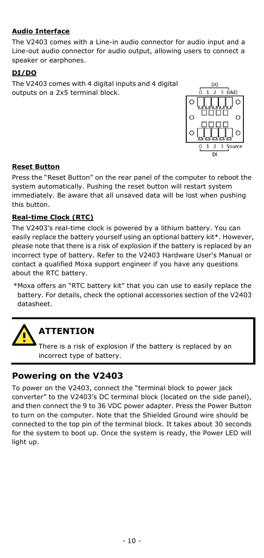### **Audio Interface**

The V2403 comes with a Line-in audio connector for audio input and a Line-out audio connector for audio output, allowing users to connect a speaker or earphones.

### **DI/DO**

The V2403 comes with 4 digital inputs and 4 digital outputs on a 2x5 terminal block.



#### **Reset Button**

Press the "Reset Button" on the rear panel of the computer to reboot the system automatically. Pushing the reset button will restart system immediately. Be aware that all unsaved data will be lost when pushing this button.

#### **Real-time Clock (RTC)**

The V2403's real-time clock is powered by a lithium battery. You can easily replace the battery yourself using an optional battery kit\*. However, please note that there is a risk of explosion if the battery is replaced by an incorrect type of battery. Refer to the V2403 Hardware User's Manual or contact a qualified Moxa support engineer if you have any questions about the RTC battery.

\*Moxa offers an "RTC battery kit" that you can use to easily replace the battery. For details, check the optional accessories section of the V2403 datasheet.



# **ATTENTION**

There is a risk of explosion if the battery is replaced by an incorrect type of battery.

### **Powering on the V2403**

To power on the V2403, connect the "terminal block to power jack converter" to the V2403's DC terminal block (located on the side panel), and then connect the 9 to 36 VDC power adapter. Press the Power Button to turn on the computer. Note that the Shielded Ground wire should be connected to the top pin of the terminal block. It takes about 30 seconds for the system to boot up. Once the system is ready, the Power LED will light up.